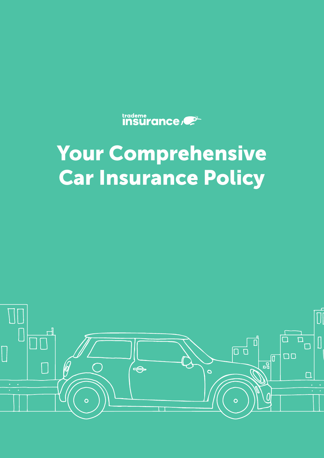

# Your Comprehensive Car Insurance Policy

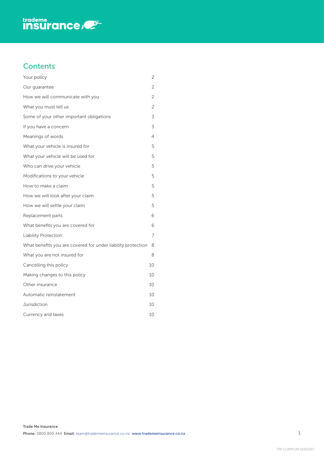

# **Contents**

| Your policy                                                  | 2              |
|--------------------------------------------------------------|----------------|
| Our guarantee                                                | 2              |
| How we will communicate with you                             | 2              |
| What you must tell us                                        | $\overline{c}$ |
| Some of your other important obligations                     | 3              |
| If you have a concern                                        | 3              |
| Meanings of words                                            | 4              |
| What your vehicle is insured for                             | 5              |
| What your vehicle will be used for                           | 5              |
| Who can drive your vehicle                                   | 5              |
| Modifications to your vehicle                                | 5              |
| How to make a claim                                          | 5              |
| How we will look after your claim                            | 5              |
| How we will settle your claim                                | 5              |
| Replacement parts                                            | 6              |
| What benefits you are covered for                            | 6              |
| <b>Liability Protection</b>                                  | 7              |
| What benefits you are covered for under liability protection | 8              |
| What you are not insured for                                 | 8              |
| Cancelling this policy                                       | 10             |
| Making changes to this policy                                | 10             |
| Other insurance                                              | 10             |
| Automatic reinstatement                                      | 10             |
| Jurisdiction                                                 | 10             |
| Currency and taxes                                           | 10             |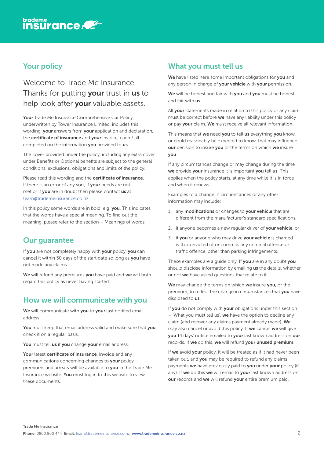<span id="page-2-0"></span>

## Your policy

Welcome to Trade Me Insurance. Thanks for putting **your** trust in **us** to help look after your valuable assets.

Your Trade Me Insurance Comprehensive Car Policy, underwritten by Tower Insurance Limited, includes this wording, your answers from your application and declaration, the certificate of insurance and your invoice, each / all completed on the information you provided to us.

The cover provided under the policy, including any extra cover under Benefits or Optional benefits are subject to the general conditions, exclusions, obligations and limits of the policy.

Please read this wording and the certificate of insurance. If there is an error of any sort, if your needs are not met or if you are in doubt then please contact us at [team@trademeinsurance.co.nz](mailto:team@trademeinsurance.co.nz)

In this policy some words are in bold, e.g. you. This indicates that the words have a special meaning. To find out the meaning, please refer to the section – Meanings of words.

## Our guarantee

If you are not completely happy with your policy, you can cancel it within 30 days of the start date so long as you have not made any claims.

We will refund any premiums you have paid and we will both regard this policy as never having started.

## How we will communicate with you

We will communicate with you to your last notified email address.

You must keep that email address valid and make sure that you check it on a regular basis.

You must tell us if you change your email address.

Your latest certificate of insurance, invoice and any communications concerning changes to your policy, premiums and arrears will be available to you in the Trade Me Insurance website. You must log in to this website to view these documents.

## What you must tell us

We have listed here some important obligations for you and any person in charge of your vehicle with your permission.

We will be honest and fair with you and you must be honest and fair with us.

All your statements made in relation to this policy or any claim must be correct before we have any liability under this policy or pay your claim. We must receive all relevant information.

This means that we need you to tell us everything you know, or could reasonably be expected to know, that may influence our decision to insure you or the terms on which we insure you.

If any circumstances change or may change during the time we provide your insurance it is important you tell us. This applies when the policy starts, at any time while it is in force and when it renews.

Examples of a change in circumstances or any other information may include:

- 1. any modifications or changes to your vehicle that are different from the manufacturer's standard specifications,
- 2. if anyone becomes a new regular driver of your vehicle, or
- 3. if you or anyone who may drive your vehicle is charged with, convicted of or commits any criminal offence or traffic offence, other than parking infringements.

These examples are a guide only. If you are in any doubt you should disclose information by emailing us the details, whether or not we have asked questions that relate to it.

We may change the terms on which we insure you, or the premium, to reflect the change in circumstances that you have disclosed to us.

If you do not comply with your obligations under this section – 'What you must tell us', we have the option to decline any claim (and recover any claims payment already made). We may also cancel or avoid this policy. If we cancel we will give you 14 days' notice emailed to your last known address on our records. If we do this, we will refund your unused premium.

If we avoid your policy, it will be treated as if it had never been taken out, and you may be required to refund any claims payments we have previously paid to you under your policy (if any). If we do this we will email to vour last known address on our records and we will refund your entire premium paid.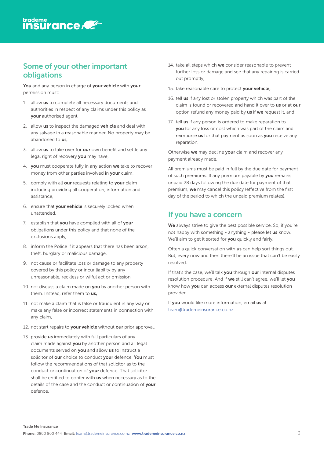<span id="page-3-0"></span>

## Some of your other important obligations

You and any person in charge of your vehicle with your permission must:

- 1. allow us to complete all necessary documents and authorities in respect of any claims under this policy as your authorised agent,
- 2. allow us to inspect the damaged vehicle and deal with any salvage in a reasonable manner. No property may be abandoned to us.
- 3. allow us to take over for our own benefit and settle any legal right of recovery you may have,
- 4. you must cooperate fully in any action we take to recover money from other parties involved in **your** claim.
- 5. comply with all our requests relating to your claim including providing all cooperation, information and assistance,
- 6. ensure that your vehicle is securely locked when unattended,
- 7. establish that you have complied with all of your obligations under this policy and that none of the exclusions apply,
- 8. inform the Police if it appears that there has been arson, theft, burglary or malicious damage,
- 9. not cause or facilitate loss or damage to any property covered by this policy or incur liability by any unreasonable, reckless or wilful act or omission,
- 10. not discuss a claim made on you by another person with them. Instead, refer them to us,
- 11. not make a claim that is false or fraudulent in any way or make any false or incorrect statements in connection with any claim,
- 12. not start repairs to your vehicle without our prior approval,
- 13. provide us immediately with full particulars of any claim made against you by another person and all legal documents served on you and allow us to instruct a solicitor of our choice to conduct your defence. You must follow the recommendations of that solicitor as to the conduct or continuation of your defence. That solicitor shall be entitled to confer with us when necessary as to the details of the case and the conduct or continuation of your defence,
- 14. take all steps which we consider reasonable to prevent further loss or damage and see that any repairing is carried out promptly,
- 15. take reasonable care to protect your vehicle,
- 16. tell us if any lost or stolen property which was part of the claim is found or recovered and hand it over to us or at our option refund any money paid by us if we request it, and
- 17. tell us if any person is ordered to make reparation to you for any loss or cost which was part of the claim and reimburse us for that payment as soon as you receive any reparation.

Otherwise we may decline your claim and recover any payment already made.

All premiums must be paid in full by the due date for payment of such premiums. If any premium payable by you remains unpaid 28 days following the due date for payment of that premium, we may cancel this policy (effective from the first day of the period to which the unpaid premium relates).

# If you have a concern

We always strive to give the best possible service. So, if you're not happy with something - anything - please let us know. We'll aim to get it sorted for you quickly and fairly.

Often a quick conversation with us can help sort things out. But, every now and then there'll be an issue that can't be easily resolved.

If that's the case, we'll talk you through our internal disputes resolution procedure. And if we still can't agree, we'll let you know how you can access our external disputes resolution provider.

If you would like more information, email us at [team@trademeinsurance.co.nz](mailto:team@trademeinsurance.co.nz)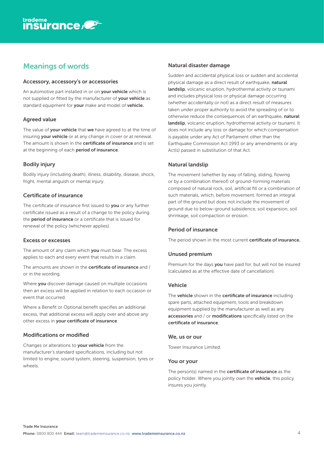# <span id="page-4-0"></span>Meanings of words

#### Accessory, accessory's or accessories

An automotive part installed in or on your vehicle which is not supplied or fitted by the manufacturer of your vehicle as standard equipment for your make and model of vehicle.

#### Agreed value

The value of your vehicle that we have agreed to at the time of insuring your vehicle or at any change in cover or at renewal. The amount is shown in the **certificate of insurance** and is set at the beginning of each period of insurance.

#### Bodily injury

Bodily injury (including death), illness, disability, disease, shock, fright, mental anguish or mental injury.

#### Certificate of insurance

The certificate of insurance first issued to you or any further certificate issued as a result of a change to the policy during the **period of insurance** or a certificate that is issued for renewal of the policy (whichever applies).

#### Excess or excesses

The amount of any claim which you must bear. The excess applies to each and every event that results in a claim.

The amounts are shown in the certificate of insurance and / or in the wording.

Where you discover damage caused on multiple occasions then an excess will be applied in relation to each occasion or event that occurred.

Where a Benefit or Optional benefit specifies an additional excess, that additional excess will apply over and above any other excess in your certificate of insurance.

#### Modifications or modified

Changes or alterations to your vehicle from the manufacturer's standard specifications, including but not limited to engine, sound system, steering, suspension, tyres or wheels.

#### Natural disaster damage

Sudden and accidental physical loss or sudden and accidental physical damage as a direct result of earthquake, natural landslip, volcanic eruption, hydrothermal activity or tsunami and includes physical loss or physical damage occurring (whether accidentally or not) as a direct result of measures taken under proper authority to avoid the spreading of or to otherwise reduce the consequences of an earthquake, natural landslip, volcanic eruption, hydrothermal activity or tsunami. It does not include any loss or damage for which compensation is payable under any Act of Parliament other than the Earthquake Commission Act 1993 or any amendments or any Act(s) passed in substitution of that Act.

#### Natural landslip

The movement (whether by way of falling, sliding, flowing or by a combination thereof) of ground-forming materials composed of natural rock, soil, artificial fill or a combination of such materials, which, before movement, formed an integral part of the ground but does not include the movement of ground due to below-ground subsidence, soil expansion, soil shrinkage, soil compaction or erosion.

#### Period of insurance

The period shown in the most current certificate of insurance.

#### Unused premium

Premium for the days you have paid for, but will not be insured (calculated as at the effective date of cancellation).

#### Vehicle

The vehicle shown in the certificate of insurance including spare parts, attached equipment, tools and breakdown equipment supplied by the manufacturer as well as any accessories and / or modifications specifically listed on the certificate of insurance.

#### We, us or our

Tower Insurance Limited.

#### You or your

The person(s) named in the **certificate of insurance** as the policy holder. Where you jointly own the vehicle, this policy insures you jointly.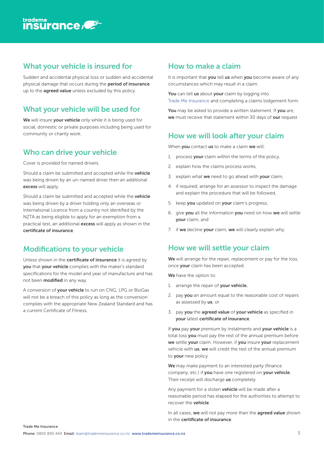<span id="page-5-0"></span>

## What your vehicle is insured for

Sudden and accidental physical loss or sudden and accidental physical damage that occurs during the period of insurance up to the **agreed value** unless excluded by this policy.

# What your vehicle will be used for

We will insure your vehicle only while it is being used for social, domestic or private purposes including being used for community or charity work.

## Who can drive your vehicle

Cover is provided for named drivers.

Should a claim be submitted and accepted while the **vehicle** was being driven by an un-named driver then an additional excess will apply.

Should a claim be submitted and accepted while the **vehicle** was being driven by a driver holding only an overseas or International Licence from a country not identified by the NZTA as being eligible to apply for an exemption from a practical test, an additional **excess** will apply as shown in the certificate of insurance.

# Modifications to your vehicle

Unless shown in the certificate of insurance it is agreed by you that your vehicle complies with the maker's standard specifications for the model and year of manufacture and has not been **modified** in any way.

A conversion of **your vehicle** to run on CNG. LPG or BioGas will not be a breach of this policy as long as the conversion complies with the appropriate New Zealand Standard and has a current Certificate of Fitness.

# How to make a claim

It is important that you tell us when you become aware of any circumstances which may result in a claim.

You can tell us about your claim by logging into [Trade Me Insurance](http://www.trademeinsurance.co.nz) and completing a claims lodgement form.

You may be asked to provide a written statement. If you are, we must receive that statement within 30 days of our request.

# How we will look after your claim

When you contact us to make a claim we will:

- 1. process your claim within the terms of the policy,
- 2. explain how the claims process works,
- 3. explain what we need to go ahead with your claim,
- 4. if required, arrange for an assessor to inspect the damage and explain the procedure that will be followed,
- 5. keep you updated on your claim's progress,
- 6. give you all the information you need on how we will settle your claim, and
- 7. if we decline your claim, we will clearly explain why.

# How we will settle your claim

We will arrange for the repair, replacement or pay for the loss, once your claim has been accepted.

We have the option to:

- 1. arrange the repair of your vehicle,
- 2. pay you an amount equal to the reasonable cost of repairs as assessed by us, or
- 3. pay you the agreed value of your vehicle as specified in your latest certificate of insurance.

If you pay your premium by instalments and your vehicle is a total loss you must pay the rest of the annual premium before we settle your claim. However, if you insure your replacement vehicle with **us**, we will credit the rest of the annual premium to your new policy.

We may make payment to an interested party (finance company, etc.) if you have one registered on your vehicle. Their receipt will discharge us completely.

Any payment for a stolen **vehicle** will be made after a reasonable period has elapsed for the authorities to attempt to recover the vehicle.

In all cases, we will not pay more than the agreed value shown in the certificate of insurance.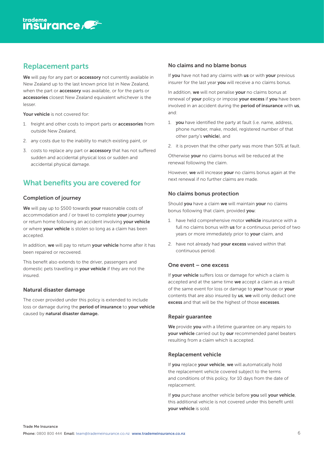# <span id="page-6-0"></span>Replacement parts

We will pay for any part or **accessory** not currently available in New Zealand up to the last known price list in New Zealand, when the part or **accessory** was available, or for the parts or accessories closest New Zealand equivalent whichever is the lesser.

Your vehicle is not covered for:

- 1. freight and other costs to import parts or accessories from outside New Zealand,
- 2. any costs due to the inability to match existing paint, or
- 3. costs to replace any part or **accessory** that has not suffered sudden and accidental physical loss or sudden and accidental physical damage.

# What benefits you are covered for

#### Completion of journey

We will pay up to \$500 towards your reasonable costs of accommodation and / or travel to complete your journey or return home following an accident involving your vehicle or where your vehicle is stolen so long as a claim has been accepted.

In addition, we will pay to return your vehicle home after it has been repaired or recovered.

This benefit also extends to the driver, passengers and domestic pets travelling in your vehicle if they are not the insured.

#### Natural disaster damage

The cover provided under this policy is extended to include loss or damage during the period of insurance to your vehicle caused by natural disaster damage.

#### No claims and no blame bonus

If you have not had any claims with us or with your previous insurer for the last year you will receive a no claims bonus.

In addition, we will not penalise your no claims bonus at renewal of your policy or impose your excess if you have been involved in an accident during the period of insurance with us, and:

- 1. vou have identified the party at fault (i.e. name, address, phone number, make, model, registered number of that other party's vehicle), and
- 2. it is proven that the other party was more than 50% at fault.

Otherwise your no claims bonus will be reduced at the renewal following the claim.

However, we will increase your no claims bonus again at the next renewal if no further claims are made.

#### No claims bonus protection

Should you have a claim we will maintain your no claims bonus following that claim, provided you:

- 1. have held comprehensive motor vehicle insurance with a full no claims bonus with **us** for a continuous period of two years or more immediately prior to your claim, and
- 2. have not already had your excess waived within that continuous period.

#### One event – one excess

If your vehicle suffers loss or damage for which a claim is accepted and at the same time we accept a claim as a result of the same event for loss or damage to your house or your contents that are also insured by us, we will only deduct one excess and that will be the highest of those excesses.

#### Repair guarantee

We provide you with a lifetime quarantee on any repairs to your vehicle carried out by our recommended panel beaters resulting from a claim which is accepted.

#### Replacement vehicle

If you replace your vehicle, we will automatically hold the replacement vehicle covered subject to the terms and conditions of this policy, for 10 days from the date of replacement.

If you purchase another vehicle before you sell your vehicle, this additional vehicle is not covered under this benefit until your vehicle is sold.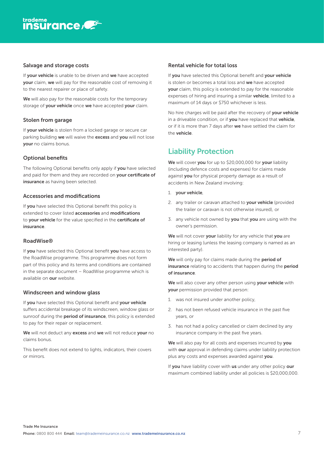#### <span id="page-7-0"></span>Salvage and storage costs

If **vour vehicle** is unable to be driven and we have accepted your claim, we will pay for the reasonable cost of removing it to the nearest repairer or place of safety.

We will also pay for the reasonable costs for the temporary storage of your vehicle once we have accepted your claim.

#### Stolen from garage

If **vour vehicle** is stolen from a locked garage or secure car parking building we will waive the excess and you will not lose your no claims bonus.

#### Optional benefits

The following Optional benefits only apply if you have selected and paid for them and they are recorded on your certificate of insurance as having been selected.

#### Accessories and modifications

If **vou** have selected this Optional benefit this policy is extended to cover listed **accessories** and **modifications** to your vehicle for the value specified in the certificate of insurance.

#### RoadWise®

If you have selected this Optional benefit you have access to the RoadWise programme. This programme does not form part of this policy and its terms and conditions are contained in the separate document – RoadWise programme which is available on our website.

#### Windscreen and window glass

If you have selected this Optional benefit and your vehicle suffers accidental breakage of its windscreen, window glass or sunroof during the **period of insurance**, this policy is extended to pay for their repair or replacement.

We will not deduct any excess and we will not reduce your no claims bonus.

This benefit does not extend to lights, indicators, their covers or mirrors.

#### Rental vehicle for total loss

If you have selected this Optional benefit and your vehicle is stolen or becomes a total loss and we have accepted your claim, this policy is extended to pay for the reasonable expenses of hiring and insuring a similar vehicle, limited to a maximum of 14 days or \$750 whichever is less.

No hire charges will be paid after the recovery of your vehicle in a driveable condition, or if you have replaced that vehicle, or if it is more than 7 days after we have settled the claim for the vehicle.

## Liability Protection

We will cover you for up to \$20,000,000 for your liability (including defence costs and expenses) for claims made against you for physical property damage as a result of accidents in New Zealand involving:

- 1. your vehicle,
- 2. any trailer or caravan attached to your vehicle (provided the trailer or caravan is not otherwise insured), or
- 3. any vehicle not owned by you that you are using with the owner's permission.

We will not cover your liability for any vehicle that you are hiring or leasing (unless the leasing company is named as an interested party).

We will only pay for claims made during the period of insurance relating to accidents that happen during the period of insurance.

We will also cover any other person using your vehicle with your permission provided that person:

- 1. was not insured under another policy,
- 2. has not been refused vehicle insurance in the past five years, or
- 3. has not had a policy cancelled or claim declined by any insurance company in the past five years.

We will also pay for all costs and expenses incurred by you with **our** approval in defending claims under liability protection plus any costs and expenses awarded against you.

If you have liability cover with us under any other policy our maximum combined liability under all policies is \$20,000,000.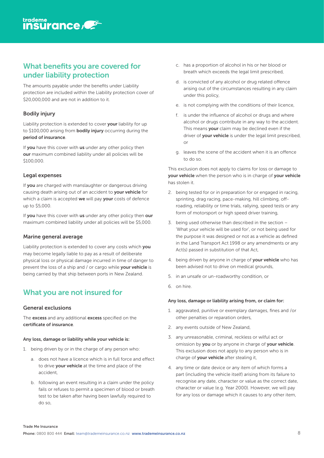## <span id="page-8-0"></span>What benefits you are covered for under liability protection

The amounts payable under the benefits under Liability protection are included within the Liability protection cover of \$20,000,000 and are not in addition to it.

#### Bodily injury

Liability protection is extended to cover your liability for up to \$100,000 arising from **bodily injury** occurring during the period of insurance.

If **vou** have this cover with us under any other policy then our maximum combined liability under all policies will be \$100,000.

#### Legal expenses

If you are charged with manslaughter or dangerous driving causing death arising out of an accident to your vehicle for which a claim is accepted we will pay your costs of defence up to \$5,000.

If you have this cover with us under any other policy then our maximum combined liability under all policies will be \$5,000.

#### Marine general average

Liability protection is extended to cover any costs which you may become legally liable to pay as a result of deliberate physical loss or physical damage incurred in time of danger to prevent the loss of a ship and / or cargo while **your vehicle** is being carried by that ship between ports in New Zealand.

# What you are not insured for

#### General exclusions

The excess and any additional excess specified on the certificate of insurance.

#### Any loss, damage or liability while your vehicle is:

- 1. being driven by or in the charge of any person who:
	- a. does not have a licence which is in full force and effect to drive your vehicle at the time and place of the accident,
	- b. following an event resulting in a claim under the policy fails or refuses to permit a specimen of blood or breath test to be taken after having been lawfully required to do so,
- c. has a proportion of alcohol in his or her blood or breath which exceeds the legal limit prescribed,
- d. is convicted of any alcohol or drug related offence arising out of the circumstances resulting in any claim under this policy,
- e. is not complying with the conditions of their licence,
- f. is under the influence of alcohol or drugs and where alcohol or drugs contribute in any way to the accident. This means your claim may be declined even if the driver of **your vehicle** is under the legal limit prescribed,  $\bigcap$
- g. leaves the scene of the accident when it is an offence to do so.

This exclusion does not apply to claims for loss or damage to your vehicle when the person who is in charge of your vehicle has stolen it.

- 2. being tested for or in preparation for or engaged in racing, sprinting, drag racing, pace-making, hill climbing, offroading, reliability or time trials, rallying, speed tests or any form of motorsport or high speed driver training,
- 3. being used otherwise than described in the section 'What your vehicle will be used for', or not being used for the purpose it was designed or not as a vehicle as defined in the Land Transport Act 1998 or any amendments or any Act(s) passed in substitution of that Act,
- 4. being driven by anyone in charge of your vehicle who has been advised not to drive on medical grounds,
- 5. in an unsafe or un-roadworthy condition, or
- 6. on hire.

#### Any loss, damage or liability arising from, or claim for:

- 1. aggravated, punitive or exemplary damages, fines and /or other penalties or reparation orders,
- 2. any events outside of New Zealand,
- 3. any unreasonable, criminal, reckless or wilful act or omission by you or by anyone in charge of your vehicle. This exclusion does not apply to any person who is in charge of your vehicle after stealing it,
- 4. any time or date device or any item of which forms a part (including the vehicle itself) arising from its failure to recognise any date, character or value as the correct date, character or value (e.g. Year 2000). However, we will pay for any loss or damage which it causes to any other item,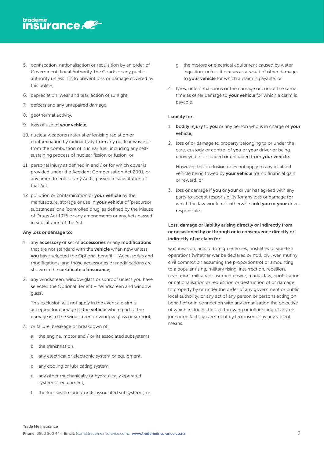- 5. confiscation, nationalisation or requisition by an order of Government, Local Authority, the Courts or any public authority unless it is to prevent loss or damage covered by this policy,
- 6. depreciation, wear and tear, action of sunlight,
- 7. defects and any unrepaired damage,
- 8. geothermal activity,
- 9. loss of use of your vehicle,
- 10. nuclear weapons material or ionising radiation or contamination by radioactivity from any nuclear waste or from the combustion of nuclear fuel, including any selfsustaining process of nuclear fission or fusion, or
- 11. personal injury as defined in and / or for which cover is provided under the Accident Compensation Act 2001, or any amendments or any Act(s) passed in substitution of that Act
- 12. pollution or contamination or your vehicle by the manufacture, storage or use in your vehicle of 'precursor substances' or a 'controlled drug' as defined by the Misuse of Drugs Act 1975 or any amendments or any Acts passed in substitution of the Act.

#### Any loss or damage to:

- 1. any accessory or set of accessories or any modifications that are not standard with the **vehicle** when new unless you have selected the Optional benefit – 'Accessories and modifications' and those accessories or modifications are shown in the certificate of insurance,
- 2. any windscreen, window glass or sunroof unless you have selected the Optional Benefit – 'Windscreen and window glass',

This exclusion will not apply in the event a claim is accepted for damage to the **vehicle** where part of the damage is to the windscreen or window glass or sunroof,

- 3. or failure, breakage or breakdown of:
	- a. the engine, motor and / or its associated subsystems,
	- b. the transmission,
	- c. any electrical or electronic system or equipment,
	- d. any cooling or lubricating system,
	- e. any other mechanically or hydraulically operated system or equipment,
	- f. the fuel system and / or its associated subsystems, or
- g. the motors or electrical equipment caused by water ingestion, unless it occurs as a result of other damage to your vehicle for which a claim is payable, or
- 4. tyres, unless malicious or the damage occurs at the same time as other damage to your vehicle for which a claim is payable.

#### Liability for:

- 1. **bodily injury** to you or any person who is in charge of your vehicle,
- 2. loss of or damage to property belonging to or under the care, custody or control of you or your driver or being conveyed in or loaded or unloaded from your vehicle.

However, this exclusion does not apply to any disabled vehicle being towed by your vehicle for no financial gain or reward, or

3. loss or damage if you or your driver has agreed with any party to accept responsibility for any loss or damage for which the law would not otherwise hold you or your driver responsible.

#### Loss, damage or liability arising directly or indirectly from or occasioned by or through or in consequence directly or indirectly of or claim for:

war, invasion, acts of foreign enemies, hostilities or war-like operations (whether war be declared or not), civil war, mutiny, civil commotion assuming the proportions of or amounting to a popular rising, military rising, insurrection, rebellion, revolution, military or usurped power, martial law, confiscation or nationalisation or requisition or destruction of or damage to property by or under the order of any government or public local authority, or any act of any person or persons acting on behalf of or in connection with any organisation the objective of which includes the overthrowing or influencing of any de jure or de facto government by terrorism or by any violent means.